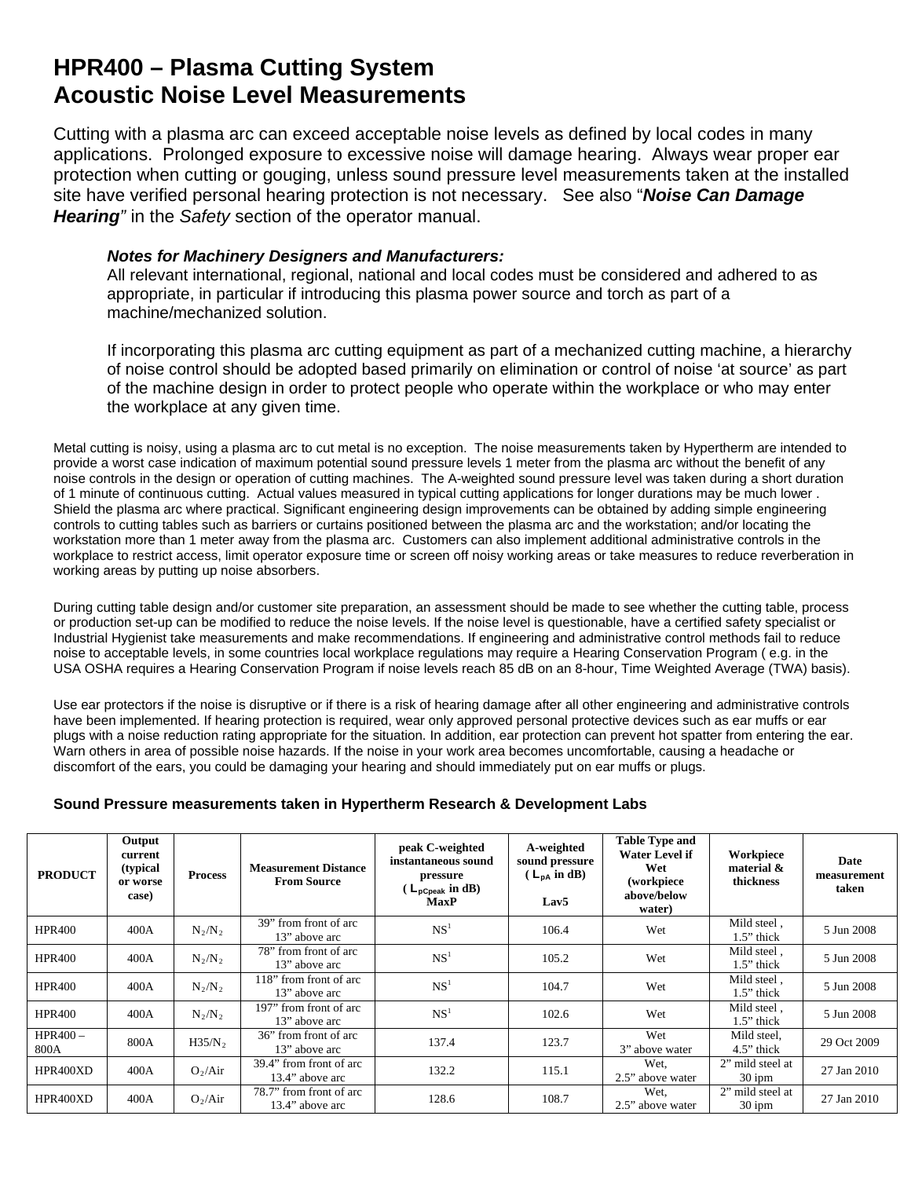## **HPR400 – Plasma Cutting System Acoustic Noise Level Measurements**

Cutting with a plasma arc can exceed acceptable noise levels as defined by local codes in many applications. Prolonged exposure to excessive noise will damage hearing. Always wear proper ear protection when cutting or gouging, unless sound pressure level measurements taken at the installed site have verified personal hearing protection is not necessary. See also "*Noise Can Damage Hearing"* in the *Safety* section of the operator manual.

## *Notes for Machinery Designers and Manufacturers:*

All relevant international, regional, national and local codes must be considered and adhered to as appropriate, in particular if introducing this plasma power source and torch as part of a machine/mechanized solution.

If incorporating this plasma arc cutting equipment as part of a mechanized cutting machine, a hierarchy of noise control should be adopted based primarily on elimination or control of noise 'at source' as part of the machine design in order to protect people who operate within the workplace or who may enter the workplace at any given time.

Metal cutting is noisy, using a plasma arc to cut metal is no exception. The noise measurements taken by Hypertherm are intended to provide a worst case indication of maximum potential sound pressure levels 1 meter from the plasma arc without the benefit of any noise controls in the design or operation of cutting machines. The A-weighted sound pressure level was taken during a short duration of 1 minute of continuous cutting. Actual values measured in typical cutting applications for longer durations may be much lower . Shield the plasma arc where practical. Significant engineering design improvements can be obtained by adding simple engineering controls to cutting tables such as barriers or curtains positioned between the plasma arc and the workstation; and/or locating the workstation more than 1 meter away from the plasma arc. Customers can also implement additional administrative controls in the workplace to restrict access, limit operator exposure time or screen off noisy working areas or take measures to reduce reverberation in working areas by putting up noise absorbers.

During cutting table design and/or customer site preparation, an assessment should be made to see whether the cutting table, process or production set-up can be modified to reduce the noise levels. If the noise level is questionable, have a certified safety specialist or Industrial Hygienist take measurements and make recommendations. If engineering and administrative control methods fail to reduce noise to acceptable levels, in some countries local workplace regulations may require a Hearing Conservation Program ( e.g. in the USA OSHA requires a Hearing Conservation Program if noise levels reach 85 dB on an 8-hour, Time Weighted Average (TWA) basis).

Use ear protectors if the noise is disruptive or if there is a risk of hearing damage after all other engineering and administrative controls have been implemented. If hearing protection is required, wear only approved personal protective devices such as ear muffs or ear plugs with a noise reduction rating appropriate for the situation. In addition, ear protection can prevent hot spatter from entering the ear. Warn others in area of possible noise hazards. If the noise in your work area becomes uncomfortable, causing a headache or discomfort of the ears, you could be damaging your hearing and should immediately put on ear muffs or plugs.

13" above arc 137.4 123.7 Wet<br>
13" above arc 13" above arc 137.4 3" above arc

4" from front of arc  $132.2$  115.1 Wet,<br>13.4" above arc  $132.2$  115.1 2.5" above

 $13.4"$  above arc  $128.6$  108.7 Wet,<br>  $13.4"$  above arc  $128.6$  108.7 Wet,

3" above water

2.5" above water

2.5" above water

Mild steel,

2" mild steel at

2" mild steel at

4.5" thick 29 Oct 2009

 $30 \text{ ipm}$  27 Jan 2010

 $30 \text{ ipm}$  27 Jan 2010

**Date measurement taken** 

## **PRODUCT Output current (typical or worse case) Process Measurement Distance From Source peak C-weighted instantaneous sound pressure ( LpCpeak in dB) MaxP A-weighted sound pressure ( LpA in dB) Lav5 Table Type and Water Level if Wet (workpiece above/below water) Workpiece material & thickness**  HPR400 400A  $N_2/N_2$ from front of arc 13" above arc NS<sup>1</sup> NS<sup>1</sup> 106.4 Wet Mild steel , 13" above arc NS<sup>1</sup> NS<sup>1</sup> 1.5" thick Mild steel,<br>1.5" thick 5 Jun 2008 HPR400  $400A$   $N_2/N_2$ 78" from front of arc 13" above arc NS<sup>1</sup> NS<sup>1</sup> 105.2 Wet Mild steel , 13" above arc NS<sup>1</sup> NS<sup>1</sup> 1.5" thick Mild steel,<br>1.5" thick 5 Jun 2008 HPR400  $\vert$  400A  $\vert$  N<sub>2</sub>/N<sub>2</sub> 118" from front of arc  $13$ " above arc  $13$ " above arc  $13$ " above arc  $13$ " above arc  $13$ " above arc  $15$ " hick Mild steel,  $\begin{array}{c|c} 5 \text{ Jun } 2008 \\ \end{array}$ HPR400  $400A$  N<sub>2</sub>/N<sub>2</sub> 197" from front of arc  $13$ " above arc  $13$ " above arc  $13$ " above arc  $13$ " above arc  $13$ " above arc  $15$ " above arc  $15$ " above arc  $15$ " above arc  $15$ " above arc  $15$ " above arc  $15$ " above arc  $15$ " above arc  $15$ " above arc  $15$ " above a Mild steel,<br>1.5" thick 5 Jun 2008

## **Sound Pressure measurements taken in Hypertherm Research & Development Labs**

36" from front of arc<br>13" above arc

HPR400 –

800A H35/N<sub>2</sub>

HPR400XD 400A  $O_2/Air$  39.4" from front of arc

HPR400XD 400A  $O_2/Air$  78.7" from front of arc